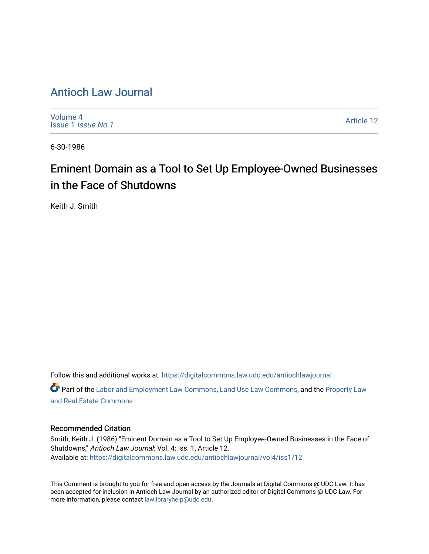# [Antioch Law Journal](https://digitalcommons.law.udc.edu/antiochlawjournal)

[Volume 4](https://digitalcommons.law.udc.edu/antiochlawjournal/vol4) [Issue 1](https://digitalcommons.law.udc.edu/antiochlawjournal/vol4/iss1) Issue No.1

[Article 12](https://digitalcommons.law.udc.edu/antiochlawjournal/vol4/iss1/12) 

6-30-1986

# Eminent Domain as a Tool to Set Up Employee-Owned Businesses in the Face of Shutdowns

Keith J. Smith

Follow this and additional works at: [https://digitalcommons.law.udc.edu/antiochlawjournal](https://digitalcommons.law.udc.edu/antiochlawjournal?utm_source=digitalcommons.law.udc.edu%2Fantiochlawjournal%2Fvol4%2Fiss1%2F12&utm_medium=PDF&utm_campaign=PDFCoverPages)  Part of the [Labor and Employment Law Commons](http://network.bepress.com/hgg/discipline/909?utm_source=digitalcommons.law.udc.edu%2Fantiochlawjournal%2Fvol4%2Fiss1%2F12&utm_medium=PDF&utm_campaign=PDFCoverPages), [Land Use Law Commons,](http://network.bepress.com/hgg/discipline/852?utm_source=digitalcommons.law.udc.edu%2Fantiochlawjournal%2Fvol4%2Fiss1%2F12&utm_medium=PDF&utm_campaign=PDFCoverPages) and the [Property Law](http://network.bepress.com/hgg/discipline/897?utm_source=digitalcommons.law.udc.edu%2Fantiochlawjournal%2Fvol4%2Fiss1%2F12&utm_medium=PDF&utm_campaign=PDFCoverPages) [and Real Estate Commons](http://network.bepress.com/hgg/discipline/897?utm_source=digitalcommons.law.udc.edu%2Fantiochlawjournal%2Fvol4%2Fiss1%2F12&utm_medium=PDF&utm_campaign=PDFCoverPages) 

## Recommended Citation

Smith, Keith J. (1986) "Eminent Domain as a Tool to Set Up Employee-Owned Businesses in the Face of Shutdowns," Antioch Law Journal: Vol. 4: Iss. 1, Article 12. Available at: [https://digitalcommons.law.udc.edu/antiochlawjournal/vol4/iss1/12](https://digitalcommons.law.udc.edu/antiochlawjournal/vol4/iss1/12?utm_source=digitalcommons.law.udc.edu%2Fantiochlawjournal%2Fvol4%2Fiss1%2F12&utm_medium=PDF&utm_campaign=PDFCoverPages) 

This Comment is brought to you for free and open access by the Journals at Digital Commons @ UDC Law. It has been accepted for inclusion in Antioch Law Journal by an authorized editor of Digital Commons @ UDC Law. For more information, please contact [lawlibraryhelp@udc.edu.](mailto:lawlibraryhelp@udc.edu)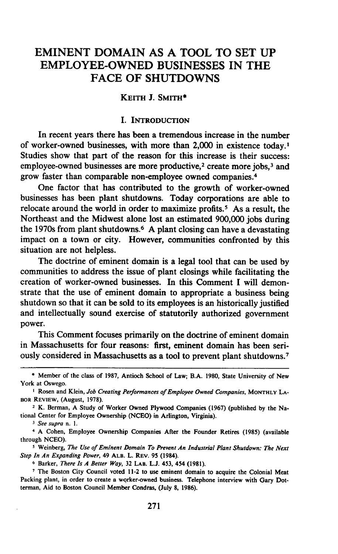# EMINENT **DOMAIN AS A** TOOL TO **SET UP** EMPLOYEE-OWNED **BUSINESSES** IN THE **FACE** OF **SHUTDOWNS**

#### **KEITH J. SMITH\***

#### **I. INTRODUCTION**

In recent years there has been a tremendous increase in the number of worker-owned businesses, with more than 2,000 in existence today.' Studies show that part of the reason for this increase is their success: employee-owned businesses are more productive,<sup>2</sup> create more jobs,<sup>3</sup> and grow faster than comparable non-employee owned companies. <sup>4</sup>

One factor that has contributed to the growth of worker-owned businesses has been plant shutdowns. Today corporations are able to relocate around the world in order to maximize profits.<sup>5</sup> As a result, the Northeast and the Midwest alone lost an estimated **900,000** jobs during the 1970s from plant shutdowns. <sup>6</sup>**A** plant closing can have a devastating impact on a town or city. However, communities confronted **by** this situation are not helpless.

The doctrine of eminent domain is a legal tool that can be used **by** communities to address the issue of plant closings while facilitating the creation of worker-owned businesses. In this Comment **I** will demonstrate that the use of eminent domain to appropriate a business being shutdown so that it can be sold to its employees is an historically justified and intellectually sound exercise of statutorily authorized government power.

This Comment focuses primarily on the doctrine of eminent domain in Massachusetts for four reasons: first, eminent domain has been seriously considered in Massachusetts as a tool to prevent plant shutdowns. <sup>7</sup>

**<sup>\*</sup>** Member of the class of **1987,** Antioch School of Law; B.A. **1980,** State University of New York at Oswego.

<sup>&</sup>lt;sup>1</sup> Rosen and Klein, *Job Creating Performances of Employee Owned Companies*, MONTHLY LA-**BOR REVIEW,** (August, 1978).

**<sup>2</sup>** K. Berman, A Study of Worker Owned Plywood Companies (1967) (published **by** the National Center for Employee Ownership (NCEO) in Arlington, Virginia).

*<sup>3</sup> See supra n. 1.*

<sup>4</sup> **A** Cohen, Employee Ownership Companies After the Founder Retires **(1985)** (available through **NCEO).**

**<sup>5</sup> Weinberg,** *The Use of Eminent Domain To Prevent An Industrial Plant Shutdown: The Next Step In An Expanding Power,* 49 **ALB. L. REV. 95** (1984).

**<sup>6</sup>** Barker, *There Is A Better Way,* **32 LAB. L.J. 453,** 454 **(1981).**

**<sup>7</sup>** The Boston City Council voted 11-2 to use eminent domain to acquire the Colonial Meat Packing plant, in order to create a worker-owned business. Telephone interview with Gary Dotterman, Aid to Boston Council Member Condras, (July **8, 1986).**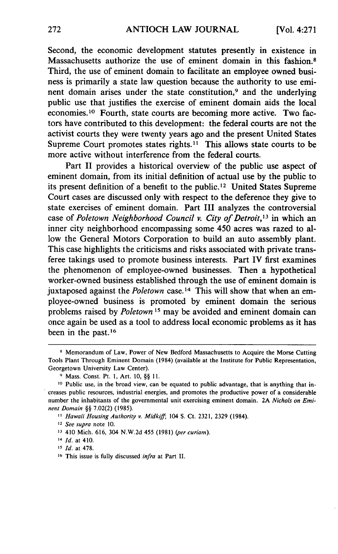Second, the economic development statutes presently in existence in Massachusetts authorize the use of eminent domain in this fashion.<sup>8</sup> Third, the use of eminent domain to facilitate an employee owned business is primarily a state law question because the authority to use eminent domain arises under the state constitution,<sup>9</sup> and the underlying public use that justifies the exercise of eminent domain aids the local economies.<sup>10</sup> Fourth, state courts are becoming more active. Two factors have contributed to this development: the federal courts are not the activist courts they were twenty years ago and the present United States Supreme Court promotes states rights.<sup>11</sup> This allows state courts to be more active without interference from the federal courts.

Part II provides a historical overview of the public use aspect of eminent domain, from its initial definition of actual use by the public to its present definition of a benefit to the public.12 United States Supreme Court cases are discussed only with respect to the deference they give to state exercises of eminent domain. Part III analyzes the controversial case of *Poletown Neighborhood Council v. City of Detroit,13* in which an inner city neighborhood encompassing some 450 acres was razed to allow the General Motors Corporation to build an auto assembly plant. This case highlights the criticisms and risks associated with private transferee takings used to promote business interests. Part IV first examines the phenomenon of employee-owned businesses. Then a hypothetical worker-owned business established through the use of eminent domain is juxtaposed against the *Poletown* case.14 This will show that when an employee-owned business is promoted by eminent domain the serious problems raised by *Poletown 15* may be avoided and eminent domain can once again be used as a tool to address local economic problems as it has been in the past.<sup>16</sup>

- 12 *See supra* note 10.
- *13* 410 Mich. 616, 304 N.W.2d 455 (1981) *(per curiam).*
- *14 Id.* at 410.
- **15** *Id.* at 478.
- **16** This issue is fully discussed *infra* at Part II.

**<sup>8</sup>** Memorandum of Law, Power of New Bedford Massachusetts to Acquire the Morse Cutting Tools Plant Through Eminent Domain (1984) (available at the Institute for Public Representation, Georgetown University Law Center).

**<sup>9</sup>** Mass. Const. Pt. **1,** Art. 10, §§ **11.**

**<sup>10</sup>** Public use, in the broad view, can be equated to public advantage, that is anything that increases public resources, industrial energies, and promotes the productive power of a considerable number the inhabitants of the governmental unit exercising eminent domain. 2A *Nichols on Eminent Domain §§* 7.02(2) (1985).

*<sup>1</sup> Hawaii Housing Authority v. Midkiff;* 104 S. Ct. 2321, 2329 (1984).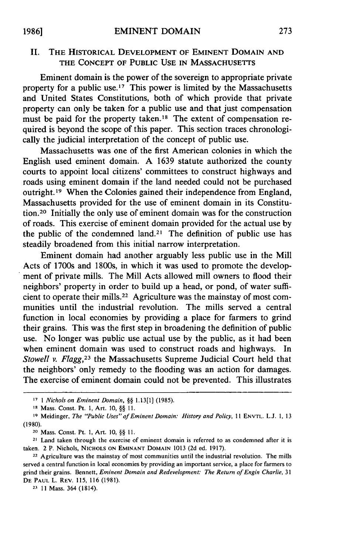## II. THE **HISTORICAL DEVELOPMENT OF** EMINENT **DOMAIN AND** THE CONCEPT OF **PUBLIC USE IN MASSACHUSETTS**

Eminent domain is the power of the sovereign to appropriate private property for a public use.<sup>17</sup> This power is limited by the Massachusetts and United States Constitutions, both of which provide that private property can only be taken for a public use and that just compensation must be paid for the property taken.<sup>18</sup> The extent of compensation required is beyond the scope of this paper. This section traces chronologically the judicial interpretation of the concept of public use.

Massachusetts was one of the first American colonies in which the English used eminent domain. A 1639 statute authorized the county courts to appoint local citizens' committees to construct highways and roads using eminent domain if the land needed could not be purchased outright.<sup>19</sup> When the Colonies gained their independence from England, Massachusetts provided for the use of eminent domain in its Constitution.20 Initially the only use of eminent domain was for the construction of roads. This exercise of eminent domain provided for the actual use by the public of the condemned land.<sup>21</sup> The definition of public use has steadily broadened from this initial narrow interpretation.

Eminent domain had another arguably less public use in the Mill Acts of 1700s and 1800s, in which it was used to promote the development of private mills. The Mill Acts allowed mill owners to flood their neighbors' property in order to build up a head, or pond, of water sufficient to operate their mills. 22 Agriculture was the mainstay of most communities until the industrial revolution. The mills served a central function in local economies by providing a place for farmers to grind their grains. This was the first step in broadening the definition of public use. No longer was public use actual use by the public, as it had been when eminent domain was used to construct roads and highways. In *Stowell v. Flagg,23* the Massachusetts Supreme Judicial Court held that the neighbors' only remedy to the flooding was an action for damages. The exercise of eminent domain could not be prevented. This illustrates

**23 11** Mass. 364 (1814).

*<sup>17 1</sup> Nichols on Eminent Domain, §§* 1.13[1] (1985).

**<sup>&</sup>quot;1** Mass. Const. Pt. **1,** Art. 10, *§* 11.

**<sup>19</sup>** Meidinger, *The "Public Uses" of Eminent Domain: History and Policy,* 11 ENVTL. L.J. 1, 13 **(1980).**

<sup>20</sup>Mass. Const. Pt. **1,** Art. 10, §§ **11.**

<sup>21</sup> Land taken through the exercise of eminent domain is referred to as condemned after it is taken. 2 P. Nichols, **NICHOLS ON** EMINANT **DOMAIN** 1013 (2d ed. 1917).

**<sup>22</sup>** Agriculture was the mainstay of most communities until the industrial revolution. The mills served a central function in local economies by providing an important service, a place for farmers to grind their grains. Bennett, *Eminent Domain and Redevelopment. The Return of Engin Charlie, <sup>31</sup>* **DE PAUL** L. REV. 115, 116 (1981).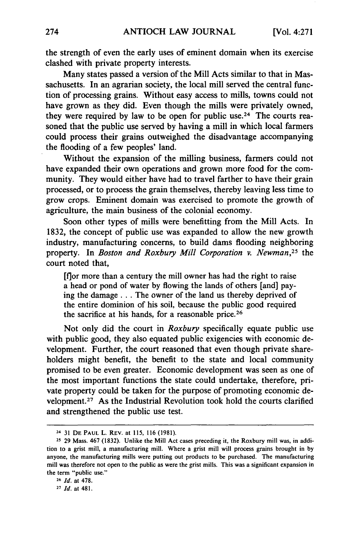the strength of even the early uses of eminent domain when its exercise clashed with private property interests.

Many states passed a version of the Mill Acts similar to that in Massachusetts. In an agrarian society, the local mill served the central function of processing grains. Without easy access to mills, towns could not have grown as they did. Even though the mills were privately owned, they were required by law to be open for public use.<sup>24</sup> The courts reasoned that the public use served by having a mill in which local farmers could process their grains outweighed the disadvantage accompanying the flooding of a few peoples' land.

Without the expansion of the milling business, farmers could not have expanded their own operations and grown more food for the community. They would either have had to travel farther to have their grain processed, or to process the grain themselves, thereby leaving less time to grow crops. Eminent domain was exercised to promote the growth of agriculture, the main business of the colonial economy.

Soon other types of mills were benefitting from the Mill Acts. In 1832, the concept of public use was expanded to allow the new growth industry, manufacturing concerns, to build dams flooding neighboring property. In *Boston and Roxbury Mill Corporation v. Newman*,<sup>25</sup> the court noted that,

[for more than a century the mill owner has had the right to raise a head or pond of water by flowing the lands of others [and] paying the damage **...** The owner of the land us thereby deprived of the entire dominion of his soil, because the public good required the sacrifice at his hands, for a reasonable price.<sup>26</sup>

Not only did the court in *Roxbury* specifically equate public use with public good, they also equated public exigencies with economic development. Further, the court reasoned that even though private shareholders might benefit, the benefit to the state and local community promised to be even greater. Economic development was seen as one of the most important functions the state could undertake, therefore, private property could be taken for the purpose of promoting economic development.<sup>27</sup> As the Industrial Revolution took hold the courts clarified and strengthened the public use test.

<sup>24</sup> **31 DE PAUL** L. REv. at 115, **116** (1981).

**<sup>25</sup>** 29 Mass. 467 (1832). Unlike the Mill Act cases preceding it, the Roxbury mill was, in addition to a grist mill, a manufacturing mill. Where a grist mill will process grains brought in by anyone, the manufacturing mills were putting out products to be purchased. The manufacturing mill was therefore not open to the public as were the grist mills. This was a significant expansion in the term "public use."

**<sup>26</sup>** *Id.* at 478.

**<sup>27</sup>** *Id.* at 481.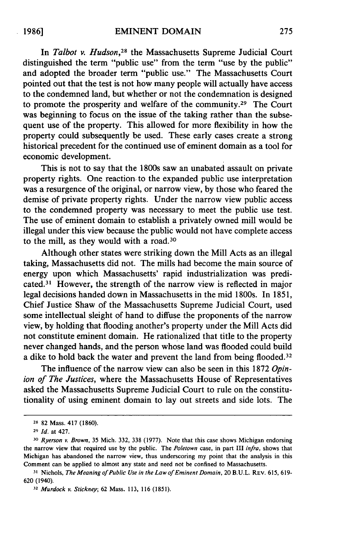In *Talbot v. Hudson,28* the Massachusetts Supreme Judicial Court distinguished the term "public use" from the term "use by the public" and adopted the broader term "public use." The Massachusetts Court pointed out that the test is not how many people will actually have access to the condemned land, but whether or not the condemnation is designed to promote the prosperity and welfare of the community.<sup>29</sup> The Court was beginning to focus on the issue of the taking rather than the subsequent use of the property. This allowed for more flexibility in how the property could subsequently be used. These early cases create a strong historical precedent for the continued use of eminent domain as a tool for economic development.

This is not to say that the 1800s saw an unabated assault on private property rights. One reaction-to the expanded public use interpretation was a resurgence of the original, or narrow view, by those who feared the demise of private property rights. Under the narrow view public access to the condemned property was necessary to meet the public use test. The use of eminent domain to establish a privately owned mill would be illegal under this view because the public would not have complete access to the mill, as they would with a road.<sup>30</sup>

Although other states were striking down the Mill Acts as an illegal taking, Massachusetts did not. The mills had become the main source of energy upon which Massachusetts' rapid industrialization was predicated. 31 However, the strength of the narrow view is reflected in major legal decisions handed down in Massachusetts in the mid 1800s. In 1851, Chief Justice Shaw of the Massachusetts Supreme Judicial Court, used some intellectual sleight of hand to diffuse the proponents of the narrow view, by holding that flooding another's property under the Mill Acts did not constitute eminent domain. He rationalized that title to the property never changed hands, and the person whose land was flooded could build a dike to hold back the water and prevent the land from being flooded.<sup>32</sup>

The influence of the narrow view can also be seen in this 1872 *Opinion of The Justices,* where the Massachusetts House of Representatives asked the Massachusetts Supreme Judicial Court to rule on the constitutionality of using eminent domain to lay out streets and side lots. The

**<sup>28</sup>82** Mass. 417 (1860).

**<sup>29</sup>***Id.* at 427.

**<sup>30</sup>***Ryerson v. Brown,* 35 Mich. 332, 338 (1977). Note that this case shows Michigan endorsing the narrow view that required use by the public. The *Poletown* case, in part III *infra,* shows that Michigan has abandoned the narrow view, thus underscoring my point that the analysis in this Comment can be applied to almost any state and need not be confined to Massachusetts.

**<sup>31</sup>** Nichols, *The Meaning of Public Use in the Law of Eminent Domain,* 20 B.U.L. REV. 615, 619- 620 (1940).

**<sup>32</sup>** Murdock *v.* Stickney; 62 Mass. 113, 116 (1851).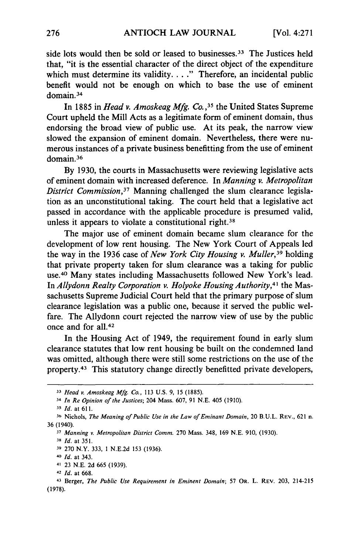side lots would then be sold or leased to businesses. 33 The Justices held that, "it is the essential character of the direct object of the expenditure which must determine its validity. **. . ."** Therefore, an incidental public benefit would not be enough on which to base the use of eminent domain.<sup>34</sup>

In 1885 in *Head v. Amoskeag Mfg. Co.*,<sup>35</sup> the United States Supreme Court upheld the Mill Acts as a legitimate form of eminent domain, thus endorsing the broad view of public use. At its peak, the narrow view slowed the expansion of eminent domain. Nevertheless, there were numerous instances of a private business benefitting from the use of eminent domain.<sup>36</sup>

By 1930, the courts in Massachusetts were reviewing legislative acts of eminent domain with increased deference. In *Manning v. Metropolitan District Commission,37* Manning challenged the slum clearance legislation as an unconstitutional taking. The court held that a legislative act passed in accordance with the applicable procedure is presumed valid, unless it appears to violate a constitutional right.<sup>38</sup>

The major use of eminent domain became slum clearance for the development of low rent housing. The New York Court of Appeals led the way in the 1936 case of *New York City Housing v. Muller,39* holding that private property taken for slum clearance was a taking for public use.4° Many states including Massachusetts followed New York's lead. In *Allydonn Realty Corporation v. Holyoke Housing Authority,4'* the Massachusetts Supreme Judicial Court held that the primary purpose of slum clearance legislation was a public one, because it served the public welfare. The Allydonn court rejected the narrow view of use by the public once and for all.<sup>42</sup>

In the Housing Act of 1949, the requirement found in early slum clearance statutes that low rent housing be built on the condemned land was omitted, although there were still some restrictions on the use of the property. 43 This statutory change directly benefitted private developers,

*<sup>33</sup>Head v. Amoskeag Mfg. Co.,* 113 U.S. 9, 15 (1885).

*<sup>34</sup> In Re Opinion of the Justices;* 204 Mass. 607, 91 N.E. 405 (1910).

*<sup>35</sup>Id.* at 611.

**<sup>36</sup>** Nichols, *The Meaning of Public Use in the Law of Eminant Domain,* 20 **B.U.L.** REV., 621 n. 36 (1940).

**<sup>37</sup>** *Manning v. Metropolitan District Comm.* 270 Mass. 348, 169 N.E. 910, (1930).

**<sup>38</sup>** *Id.* at 351.

**<sup>39</sup>**270 N.Y. 333, 1 N.E.2d 153 (1936).

*<sup>40</sup> Id.* at 343.

<sup>41 23</sup> N.E. 2d 665 (1939).

**<sup>42</sup>** *Id.* at 668.

<sup>43</sup> Berger, *The Public Use Requirement in Eminent Domain;* 57 OR. L. REV. 203, 214-215 (1978).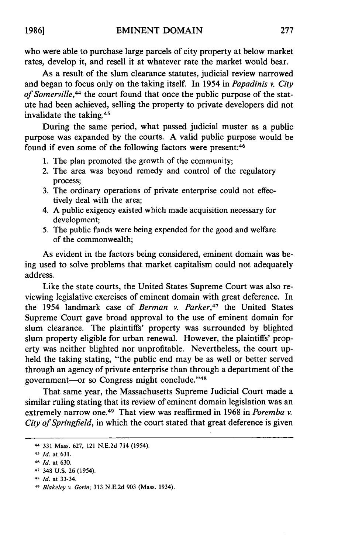who were able to purchase large parcels of city property at below market rates, develop it, and resell it at whatever rate the market would bear.

As a result of the slum clearance statutes, judicial review narrowed and began to focus only on the taking itself. In 1954 in *Papadinis v. City of Somerville,"* the court found that once the public purpose of the statute had been achieved, selling the property to private developers did not invalidate the taking. <sup>45</sup>

During the same period, what passed judicial muster as a public purpose was expanded by the courts. A valid public purpose would be found if even some of the following factors were present:<sup>46</sup>

- 1. The plan promoted the growth of the community;
- 2. The area was beyond remedy and control of the regulatory process;
- 3. The ordinary operations of private enterprise could not effectively deal with the area;
- 4. A public exigency existed which made acquisition necessary for development;
- 5. The public funds were being expended for the good and welfare of the commonwealth;

As evident in the factors being considered, eminent domain was being used to solve problems that market capitalism could not adequately address.

Like the state courts, the United States Supreme Court was also reviewing legislative exercises of eminent domain with great deference. In the 1954 landmark case of *Berman v. Parker,47* the United States Supreme Court gave broad approval to the use of eminent domain for slum clearance. The plaintiffs' property was surrounded by blighted slum property eligible for urban renewal. However, the plaintiffs' property was neither blighted nor unprofitable. Nevertheless, the court upheld the taking stating, "the public end may be as well or better served through an agency of private enterprise than through a department of the government-or so Congress might conclude."48

That same year, the Massachusetts Supreme Judicial Court made a similar ruling stating that its review of eminent domain legislation was an extremely narrow one.49 That view was reaffirmed in 1968 in *Poremba v. City of Springfield,* in which the court stated that great deference is given

<sup>44</sup> 331 Mass. 627, 121 N.E.2d 714 (1954).

<sup>45</sup> *Id.* at 631.

**<sup>46</sup>***Id.* at 630.

<sup>47</sup> 348 U.S. 26 (1954).

<sup>48</sup> *Id.* at 33-34.

<sup>49</sup> *Blakeley v. Gorin;* 313 N.E.2d 903 (Mass. 1934).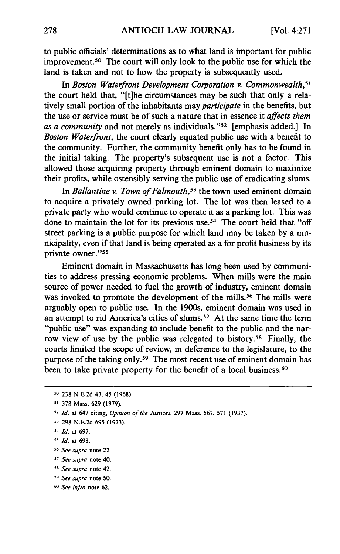to public officials' determinations as to what land is important for public improvement. 50 The court will only look to the public use for which the land is taken and not to how the property is subsequently used.

In *Boston Waterfront Development Corporation v. Commonwealth, <sup>5</sup>* the court held that, "[t]he circumstances may be such that only a relatively small portion of the inhabitants may *participate* in the benefits, but the use or service must be of such a nature that in essence it *affects them as a community* and not merely as individuals."<sup>52</sup> [emphasis added.] In *Boston Waterfront,* the court clearly equated public use with a benefit to the community. Further, the community benefit only has to be found in the initial taking. The property's subsequent use is not a factor. This allowed those acquiring property through eminent domain to maximize their profits, while ostensibly serving the public use of eradicating slums.

In *Ballantine v. Town of Falmouth,53* the town used eminent domain to acquire a privately owned parking lot. The lot was then leased to a private party who would continue to operate it as a parking lot. This was done to maintain the lot for its previous use.<sup>54</sup> The court held that "off street parking is a public purpose for which land may be taken by a municipality, even if that land is being operated as a for profit business by its private owner."<sup>55</sup>

Eminent domain in Massachusetts has long been used by communities to address pressing economic problems. When mills were the main source of power needed to fuel the growth of industry, eminent domain was invoked to promote the development of the mills.<sup>56</sup> The mills were arguably open to public use. In the 1900s, eminent domain was used in an attempt to rid America's cities of slums. 57 At the same time the term "public use" was expanding to include benefit to the public and the narrow view of use by the public was relegated to history.<sup>58</sup> Finally, the courts limited the scope of review, in deference to the legislature, to the purpose of the taking only.59 The most recent use of eminent domain has been to take private property for the benefit of a local business.<sup>66</sup>

**<sup>50</sup>** 238 N.E.2d 43, 45 (1968).

*<sup>51</sup>* 378 Mass. 629 (1979).

**<sup>52</sup>** *Id.* at 647 citing, *Opinion of the Justices;* 297 Mass. 567, 571 (1937).

**<sup>53</sup>** 298 N.E.2d 695 (1973).

**<sup>54</sup>***Id.* at 697.

**<sup>-5</sup>** *Id.* at 698.

**<sup>56</sup>** *See supra* note 22.

*<sup>57</sup> See supra* note 40.

*<sup>58</sup> See supra* note 42.

**<sup>-9</sup>** *See supra* note 50.

**<sup>60</sup>** *See infra* note 62.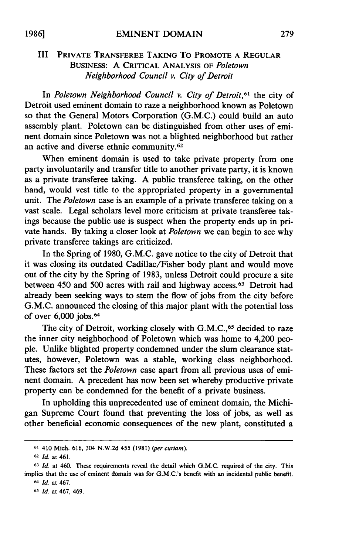### III **PRIVATE** TRANSFEREE **TAKING** To PROMOTE **A** REGULAR **BUSINESS:** A CRITICAL ANALYSIS **OF** *Poletown Neighborhood Council v. City of Detroit*

In *Poletown Neighborhood Council v. City of Detroit,61* the city of Detroit used eminent domain to raze a neighborhood known as Poletown so that the General Motors Corporation (G.M.C.) could build an auto assembly plant. Poletown can be distinguished from other uses of eminent domain since Poletown was not a blighted neighborhood but rather an active and diverse ethnic community. <sup>62</sup>

When eminent domain is used to take private property from one party involuntarily and transfer title to another private party, it is known as a private transferee taking. A public transferee taking, on the other hand, would vest title to the appropriated property in a governmental unit. The *Poletown* case is an example of a private transferee taking on a vast scale. Legal scholars level more criticism at private transferee takings because the public use is suspect when the property ends up in private hands. **By** taking a closer look at *Poletown* we can begin to see why private transferee takings are criticized.

In the Spring of **1980,** G.M.C. gave notice to the city of Detroit that it was closing its outdated Cadillac/Fisher body plant and would move out of the city **by** the Spring of **1983,** unless Detroit could procure a site between 450 and 500 acres with rail and highway access. 63 Detroit had already been seeking ways to stem the flow of jobs from the city before G.M.C. announced the closing of this major plant with the potential loss of over 6,000 jobs.<sup>64</sup>

The city of Detroit, working closely with G.M.C.,<sup>65</sup> decided to raze the inner city neighborhood of Poletown which was home to 4,200 people. Unlike blighted property condemned under the slum clearance statutes, however, Poletown was a stable, working class neighborhood. These factors set the *Poletown* case apart from all previous uses of eminent domain. A precedent has now been set whereby productive private property can be condemned for the benefit of a private business.

In upholding this unprecedented use of eminent domain, the Michigan Supreme Court found that preventing the loss of jobs, as well as other beneficial economic consequences of the new plant, constituted a

**<sup>61</sup>** 410 Mich. **616,** 304 N.W.2d 455 (1981) *(per curiam).*

**<sup>62</sup>***Id.* at 461.

**<sup>63</sup>***Id.* at 460. These requirements reveal the detail which G.M.C. required of the city. This implies that the use of eminent domain was for G.M.C.'s benefit with an incidental public benefit. *64 Id.* at 467.

**<sup>65</sup>** *Id.* at 467, 469.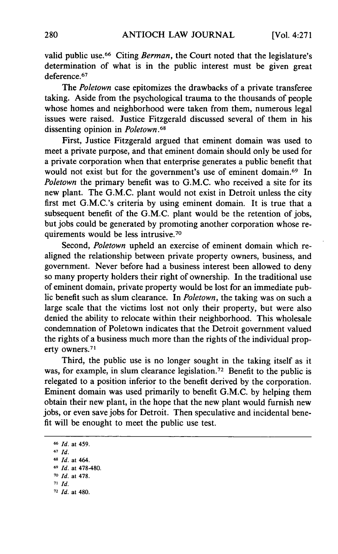valid public use.<sup>66</sup> Citing *Berman*, the Court noted that the legislature's determination of what is in the public interest must be given great deference. <sup>67</sup>

The *Poletown* case epitomizes the drawbacks of a private transferee taking. Aside from the psychological trauma to the thousands of people whose homes and neighborhood were taken from them, numerous legal issues were raised. Justice Fitzgerald discussed several of them in his dissenting opinion in *Poletown .68*

First, Justice Fitzgerald argued that eminent domain was used to meet a private purpose, and that eminent domain should only be used for a private corporation when that enterprise generates a public benefit that would not exist but for the government's use of eminent domain.<sup>69</sup> In *Poletown* the primary benefit was to G.M.C. who received a site for its new plant. The G.M.C. plant would not exist in Detroit unless the city first met G.M.C.'s criteria by using eminent domain. It is true that a subsequent benefit of the G.M.C. plant would be the retention of jobs, but jobs could be generated by promoting another corporation whose requirements would be less intrusive. <sup>70</sup>

Second, *Poletown* upheld an exercise of eminent domain which realigned the relationship between private property owners, business, and government. Never before had a business interest been allowed to deny so many property holders their right of ownership. In the traditional use of eminent domain, private property would be lost for an immediate public benefit such as slum clearance. In *Poletown,* the taking was on such a large scale that the victims lost not only their property, but were also denied the ability to relocate within their neighborhood. This wholesale condemnation of Poletown indicates that the Detroit government valued the rights of a business much more than the rights of the individual property owners.<sup>71</sup>

Third, the public use is no longer sought in the taking itself as it was, for example, in slum clearance legislation.<sup>72</sup> Benefit to the public is relegated to a position inferior to the benefit derived by the corporation. Eminent domain was used primarily to benefit G.M.C. by helping them obtain their new plant, in the hope that the new plant would furnish new jobs, or even save jobs for Detroit. Then speculative and incidental benefit will be enought to meet the public use test.

**<sup>66</sup>** *Id.* at 459. **67** *Id.* **68** *Id.* at 464. **69** *Id.* at 478-480. **70** *Id.* at 478. **71** *Id.* **72** *Id.* at 480.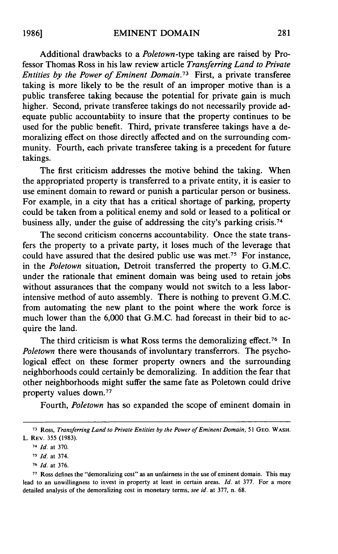Additional drawbacks to a *Poletown-type* taking are raised by Professor Thomas Ross in his law review article *Transferring Land to Private Entities by the Power of Eminent Domain.73* First, a private transferee taking is more likely to be the result of an improper motive than is a public transferee taking because the potential for private gain is much higher. Second, private transferee takings do not necessarily provide adequate public accountabiity to insure that the property continues to be used for the public benefit. Third, private transferee takings have a demoralizing effect on those directly affected and on the surrounding community. Fourth, each private transferee taking is a precedent for future takings.

The first criticism addresses the motive behind the taking. When the appropriated property is transferred to a private entity, it is easier to use eminent domain to reward or punish a particular person or business. For example, in a city that has a critical shortage of parking, property could be taken from a political enemy and sold or leased to a political or business ally, under the guise of addressing the city's parking crisis. <sup>74</sup>

The second criticism concerns accountability. Once the state transfers the property to a private party, it loses much of the leverage that could have assured that the desired public use was met.<sup>75</sup> For instance, in the *Poletown* situation, Detroit transferred the property to G.M.C. under the rationale that eminent domain was being used to retain jobs without assurances that the company would not switch to a less laborintensive method of auto assembly. There is nothing to prevent G.M.C. from automating the new plant to the point where the work force is much lower than the 6,000 that G.M.C. had forecast in their bid to acquire the land.

The third criticism is what Ross terms the demoralizing effect.<sup>76</sup> In *Poletown* there were thousands of involuntary transferrors. The psychological effect on these former property owners and the surrounding neighborhoods could certainly be demoralizing. In addition the fear that other neighborhoods might suffer the same fate as Poletown could drive property values down.<sup>77</sup>

Fourth, *Poletown* has so expanded the scope of eminent domain in

**<sup>73</sup>**Ross, *Transferring Land to Private Entities by the Power of Eminent Domain,* 51 **GEO.** WASH. L. REV. 355 (1983).

<sup>74</sup> *Id.* at 370.

*<sup>75</sup>Id.* at 374.

**<sup>76</sup>** *Id.* at 376.

**<sup>77</sup>**Ross defines the "demoralizing cost" as an unfairness in the use of eminent domain. This may lead to an unwillingness to invest in property at least in certain areas. *Id.* at 377. For a more detailed analysis of the demoralizing cost in monetary terms, *see id.* at 377, n. 68.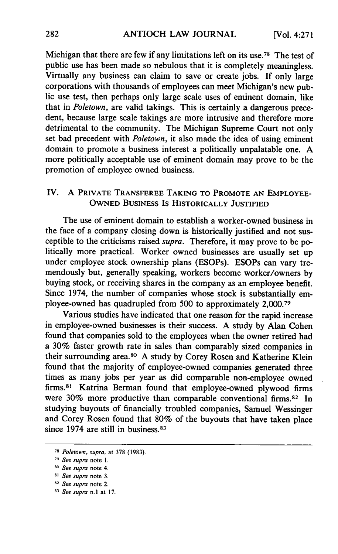Michigan that there are few if any limitations left on its use.<sup>78</sup> The test of public use has been made so nebulous that it is completely meaningless. Virtually any business can claim to save or create jobs. If only large corporations with thousands of employees can meet Michigan's new public use test, then perhaps only large scale uses of eminent domain, like that in *Poletown,* are valid takings. This is certainly a dangerous precedent, because large scale takings are more intrusive and therefore more detrimental to the community. The Michigan Supreme Court not only set bad precedent with *Poletown,* it also made the idea of using eminent domain to promote a business interest a politically unpalatable one. **A** more politically acceptable use of eminent domain may prove to be the promotion of employee owned business.

# IV. A **PRIVATE TRANSFEREE TAKING TO PROMOTE AN EMPLOYEE-OWNED BUSINESS** IS **HISTORICALLY JUSTIFIED**

The use of eminent domain to establish a worker-owned business in the face of a company closing down is historically justified and not susceptible to the criticisms raised *supra.* Therefore, it may prove to be politically more practical. Worker owned businesses are usually set up under employee stock ownership plans (ESOPs). ESOPs can vary tremendously but, generally speaking, workers become worker/owners **by** buying stock, or receiving shares in the company as an employee benefit. Since 1974, the number of companies whose stock is substantially employee-owned has quadrupled from **500** to approximately **2,000. <sup>7</sup> <sup>9</sup>**

Various studies have indicated that one reason for the rapid increase in employee-owned businesses is their success. **A** study **by** Alan Cohen found that companies sold to the employees when the owner retired had a **30%** faster growth rate in sales than comparably sized companies in their surrounding area.80 **A** study **by** Corey Rosen and Katherine Klein found that the majority of employee-owned companies generated three times as many jobs per year as did comparable non-employee owned firms.<sup>81</sup> Katrina Berman found that employee-owned plywood firms were 30% more productive than comparable conventional firms.<sup>82</sup> In studying buyouts of financially troubled companies, Samuel Wessinger and Corey Rosen found that **80%** of the buyouts that have taken place since 1974 are still in business.<sup>83</sup>

**<sup>78</sup>***Poletown, supra,* at **378 (1983).**

*<sup>79</sup>See supra* note **1.**

**<sup>80</sup>** *See supra* note 4.

*s See supra* note **3.**

**<sup>82</sup>** *See supra* note 2.

**<sup>83</sup>***See supra* n.l at **17.**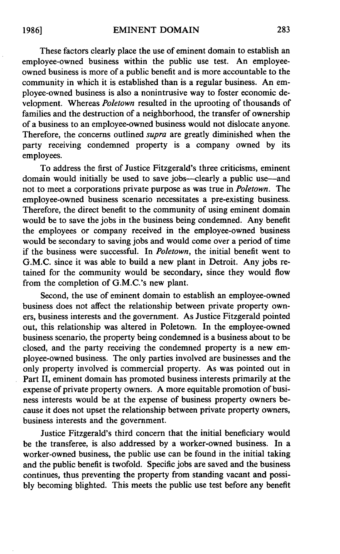These factors clearly place the use of eminent domain to establish an employee-owned business within the public use test. An employeeowned business is more of a public benefit and is more accountable to the community in which it is established than is a regular business. An employee-owned business is also a nonintrusive way to foster economic development. Whereas *Poletown* resulted in the uprooting of thousands of families and the destruction of a neighborhood, the transfer of ownership of a business to an employee-owned business would not dislocate anyone. Therefore, the concerns outlined *supra* are greatly diminished when the party receiving condemned property is a company owned by its employees.

To address the first of Justice Fitzgerald's three criticisms, eminent domain would initially be used to save jobs—clearly a public use—and not to meet a corporations private purpose as was true in *Poletown.* The employee-owned business scenario necessitates a pre-existing business. Therefore, the direct benefit to the community of using eminent domain would be to save the jobs in the business being condemned. Any benefit the employees or company received in the employee-owned business would be secondary to saving jobs and would come over a period of time if the business were successful. In *Poletown,* the initial benefit went to G.M.C. since it was able to build a new plant in Detroit. Any jobs retained for the community would be secondary, since they would flow from the completion of G.M.C.'s new plant.

Second, the use of eminent domain to establish an employee-owned business does not affect the relationship between private property owners, business interests and the government. As Justice Fitzgerald pointed out, this relationship was altered in Poletown. In the employee-owned business scenario, the property being condemned is a business about to be closed, and the party receiving the condemned property is a new employee-owned business. The only parties involved are businesses and the only property involved is commercial property. As was pointed out in Part II, eminent domain has promoted business interests primarily at the expense of private property owners. A more equitable promotion of business interests would be at the expense of business property owners because it does not upset the relationship between private property owners, business interests and the government.

Justice Fitzgerald's third concern that the initial beneficiary would be the transferee, is also addressed by a worker-owned business. In a worker-owned business, the public use can be found in the initial taking and the public benefit is twofold. Specific jobs are saved and the business continues, thus preventing the property from standing vacant and possibly becoming blighted. This meets the public use test before any benefit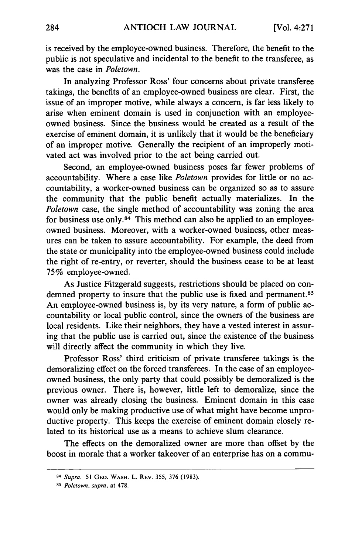is received by the employee-owned business. Therefore, the benefit to the public is not speculative and incidental to the benefit to the transferee, as was the case in *Poletown.*

In analyzing Professor Ross' four concerns about private transferee takings, the benefits of an employee-owned business are clear. First, the issue of an improper motive, while always a concern, is far less likely to arise when eminent domain is used in conjunction with an employeeowned business. Since the business would be created as a result of the exercise of eminent domain, it is unlikely that it would be the beneficiary of an improper motive. Generally the recipient of an improperly motivated act was involved prior to the act being carried out.

Second, an employee-owned business poses far fewer problems of accountability. Where a case like *Poletown* provides for little or no accountability, a worker-owned business can be organized so as to assure the community that the public benefit actually materializes. In the *Poletown* case, the single method of accountability was zoning the area for business use only. $84$  This method can also be applied to an employeeowned business. Moreover, with a worker-owned business, other measures can be taken to assure accountability. For example, the deed from the state or municipality into the employee-owned business could include the right of re-entry, or reverter, should the business cease to be at least 75% employee-owned.

As Justice Fitzgerald suggests, restrictions should be placed on condemned property to insure that the public use is fixed and permanent.<sup>85</sup> An employee-owned business is, by its very nature, a form of public accountability or local public control, since the owners of the business are local residents. Like their neighbors, they have a vested interest in assuring that the public use is carried out, since the existence of the business will directly affect the community in which they live.

Professor Ross' third criticism of private transferee takings is the demoralizing effect on the forced transferees. In the case of an employeeowned business, the only party that could possibly be demoralized is the previous owner. There is, however, little left to demoralize, since the owner was already closing the business. Eminent domain in this case would only be making productive use of what might have become unproductive property. This keeps the exercise of eminent domain closely related to its historical use as a means to achieve slum clearance.

The effects on the demoralized owner are more than offset by the boost in morale that a worker takeover of an enterprise has on a commu-

**<sup>84</sup>***Supra.* 51 **GEO. WASH.** L. REV. **355, 376 (1983).**

*<sup>85</sup> Poletown, supra,* at **478.**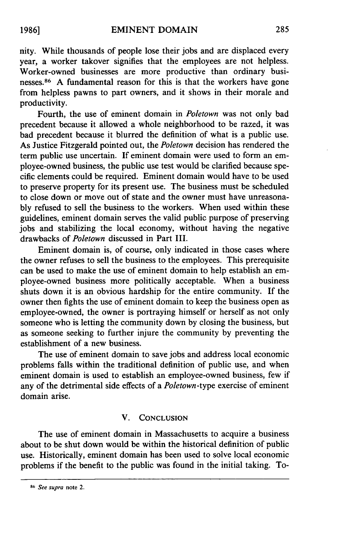nity. While thousands of people lose their jobs and are displaced every year, a worker takover signifies that the employees are not helpless. Worker-owned businesses are more productive than ordinary businesses. 86 A fundamental reason for this is that the workers have gone from helpless pawns to part owners, and it shows in their morale and productivity.

Fourth, the use of eminent domain in *Poletown* was not only bad precedent because it allowed a whole neighborhood to be razed, it was bad precedent because it blurred the definition of what is a public use. As Justice Fitzgerald pointed out, the *Poletown* decision has rendered the term public use uncertain. If eminent domain were used to form an employee-owned business, the public use test would be clarified because specific elements could be required. Eminent domain would have to be used to preserve property for its present use. The business must be scheduled to close down or move out of state and the owner must have unreasonably refused to sell the business to the workers. When used within these guidelines, eminent domain serves the valid public purpose of preserving jobs and stabilizing the local economy, without having the negative drawbacks of *Poletown* discussed in Part III.

Eminent domain is, of course, only indicated in those cases where the owner refuses to sell the business to the employees. This prerequisite can be used to make the use of eminent domain to help establish an employee-owned business more politically acceptable. When a business shuts down it is an obvious hardship for the entire community. If the owner then fights the use of eminent domain to keep the business open as employee-owned, the owner is portraying himself or herself as not only someone who is letting the community down by closing the business, but as someone seeking to further injure the community by preventing the establishment of a new business.

The use of eminent domain to save jobs and address local economic problems falls within the traditional definition of public use, and when eminent domain is used to establish an employee-owned business, few if any of the detrimental side effects of a *Poletown-type* exercise of eminent domain arise.

#### V. **CONCLUSION**

The use of eminent domain in Massachusetts to acquire a business about to be shut down would be within the historical definition of public use. Historically, eminent domain has been used to solve local economic problems if the benefit to the public was found in the initial taking. To-

**1986]**

**<sup>86</sup>***See supra* note 2.